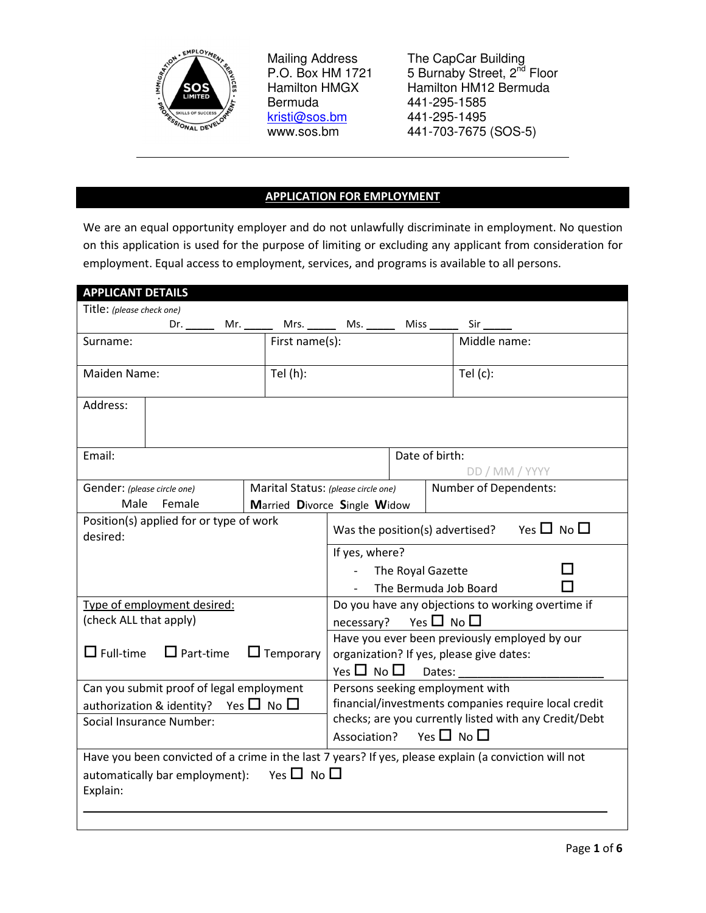

Mailing Address P.O. Box HM 1721 Hamilton HMGX Bermuda kristi@sos.bm www.sos.bm

The CapCar Building 5 Burnaby Street, 2<sup>nd</sup> Floor Hamilton HM12 Bermuda 441-295-1585 441-295-1495 441-703-7675 (SOS-5)

#### **APPLICATION FOR EMPLOYMENT**

We are an equal opportunity employer and do not unlawfully discriminate in employment. No question on this application is used for the purpose of limiting or excluding any applicant from consideration for employment. Equal access to employment, services, and programs is available to all persons.

| <b>APPLICANT DETAILS</b>                                                                              |                                                                           |                                                      |                   |  |                                                   |  |  |  |  |
|-------------------------------------------------------------------------------------------------------|---------------------------------------------------------------------------|------------------------------------------------------|-------------------|--|---------------------------------------------------|--|--|--|--|
| Title: (please check one)                                                                             |                                                                           |                                                      |                   |  |                                                   |  |  |  |  |
|                                                                                                       | Dr. _______ Mr. _______ Mrs. _______ Ms. _______ Miss _______ Sir _______ |                                                      |                   |  |                                                   |  |  |  |  |
| Surname:                                                                                              | First name(s):                                                            |                                                      |                   |  | Middle name:                                      |  |  |  |  |
|                                                                                                       |                                                                           |                                                      |                   |  |                                                   |  |  |  |  |
| Maiden Name:                                                                                          | Tel $(h)$ :                                                               |                                                      |                   |  | Tel $(c)$ :                                       |  |  |  |  |
| Address:                                                                                              |                                                                           |                                                      |                   |  |                                                   |  |  |  |  |
|                                                                                                       |                                                                           |                                                      |                   |  |                                                   |  |  |  |  |
| Email:                                                                                                |                                                                           |                                                      | Date of birth:    |  |                                                   |  |  |  |  |
|                                                                                                       |                                                                           |                                                      |                   |  | DD / MM / YYYY                                    |  |  |  |  |
| Gender: (please circle one)                                                                           | Marital Status: (please circle one)                                       |                                                      |                   |  | Number of Dependents:                             |  |  |  |  |
| Female<br>Male                                                                                        | Married Divorce Single Widow                                              |                                                      |                   |  |                                                   |  |  |  |  |
| Position(s) applied for or type of work<br>desired:                                                   |                                                                           | Was the position(s) advertised? Yes $\Box$ No $\Box$ |                   |  |                                                   |  |  |  |  |
|                                                                                                       |                                                                           | If yes, where?                                       |                   |  |                                                   |  |  |  |  |
|                                                                                                       |                                                                           |                                                      | The Royal Gazette |  |                                                   |  |  |  |  |
|                                                                                                       |                                                                           | $\sim$                                               |                   |  | The Bermuda Job Board                             |  |  |  |  |
| Type of employment desired:                                                                           |                                                                           |                                                      |                   |  | Do you have any objections to working overtime if |  |  |  |  |
| (check ALL that apply)                                                                                |                                                                           | necessary? Yes $\Box$ No $\Box$                      |                   |  |                                                   |  |  |  |  |
|                                                                                                       |                                                                           |                                                      |                   |  | Have you ever been previously employed by our     |  |  |  |  |
| $\Box$ Full-time<br>$\Box$ Part-time                                                                  | $\Box$ Temporary                                                          | organization? If yes, please give dates:             |                   |  |                                                   |  |  |  |  |
|                                                                                                       |                                                                           | Yes $\Box$ No $\Box$<br>Dates:                       |                   |  |                                                   |  |  |  |  |
| Can you submit proof of legal employment                                                              |                                                                           | Persons seeking employment with                      |                   |  |                                                   |  |  |  |  |
| authorization & identity? Yes $\Box$ No $\Box$                                                        | financial/investments companies require local credit                      |                                                      |                   |  |                                                   |  |  |  |  |
| Social Insurance Number:                                                                              | checks; are you currently listed with any Credit/Debt                     |                                                      |                   |  |                                                   |  |  |  |  |
|                                                                                                       |                                                                           | Association? Yes $\Box$ No $\Box$                    |                   |  |                                                   |  |  |  |  |
| Have you been convicted of a crime in the last 7 years? If yes, please explain (a conviction will not |                                                                           |                                                      |                   |  |                                                   |  |  |  |  |
| Yes $\Box$ No $\Box$<br>automatically bar employment):                                                |                                                                           |                                                      |                   |  |                                                   |  |  |  |  |
| Explain:                                                                                              |                                                                           |                                                      |                   |  |                                                   |  |  |  |  |
|                                                                                                       |                                                                           |                                                      |                   |  |                                                   |  |  |  |  |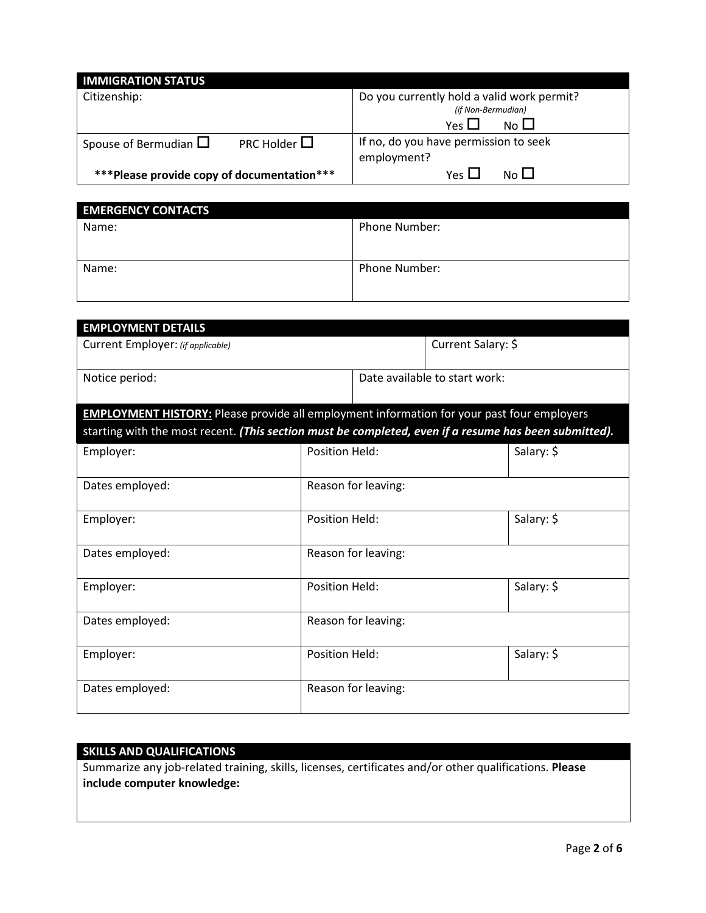| <b>IMMIGRATION STATUS</b>                          |                                                                                                |
|----------------------------------------------------|------------------------------------------------------------------------------------------------|
| Citizenship:                                       | Do you currently hold a valid work permit?<br>(if Non-Bermudian)<br>Yes $\Box$<br>$N_O$ $\Box$ |
| PRC Holder $\Box$<br>Spouse of Bermudian $\square$ | If no, do you have permission to seek<br>employment?                                           |
| *** Please provide copy of documentation***        | $N_O \Box$<br>Yes L                                                                            |

| <b>EMERGENCY CONTACTS</b> |                      |
|---------------------------|----------------------|
| Name:                     | <b>Phone Number:</b> |
|                           |                      |
| Name:                     | <b>Phone Number:</b> |
|                           |                      |

| <b>EMPLOYMENT DETAILS</b>                                                                             |                       |                               |                    |            |  |  |
|-------------------------------------------------------------------------------------------------------|-----------------------|-------------------------------|--------------------|------------|--|--|
| Current Employer: (if applicable)                                                                     |                       |                               | Current Salary: \$ |            |  |  |
| Notice period:                                                                                        |                       | Date available to start work: |                    |            |  |  |
| <b>EMPLOYMENT HISTORY:</b> Please provide all employment information for your past four employers     |                       |                               |                    |            |  |  |
| starting with the most recent. (This section must be completed, even if a resume has been submitted). |                       |                               |                    |            |  |  |
| Employer:                                                                                             | <b>Position Held:</b> |                               |                    | Salary: \$ |  |  |
| Dates employed:                                                                                       |                       | Reason for leaving:           |                    |            |  |  |
| Employer:                                                                                             | Position Held:        |                               |                    | Salary: \$ |  |  |
| Dates employed:                                                                                       |                       | Reason for leaving:           |                    |            |  |  |
| Employer:                                                                                             | <b>Position Held:</b> | Salary: \$                    |                    |            |  |  |
| Dates employed:                                                                                       |                       | Reason for leaving:           |                    |            |  |  |
| Employer:                                                                                             | <b>Position Held:</b> |                               |                    | Salary: \$ |  |  |
| Dates employed:                                                                                       |                       | Reason for leaving:           |                    |            |  |  |

# **SKILLS AND QUALIFICATIONS**

Summarize any job-related training, skills, licenses, certificates and/or other qualifications. **Please include computer knowledge:**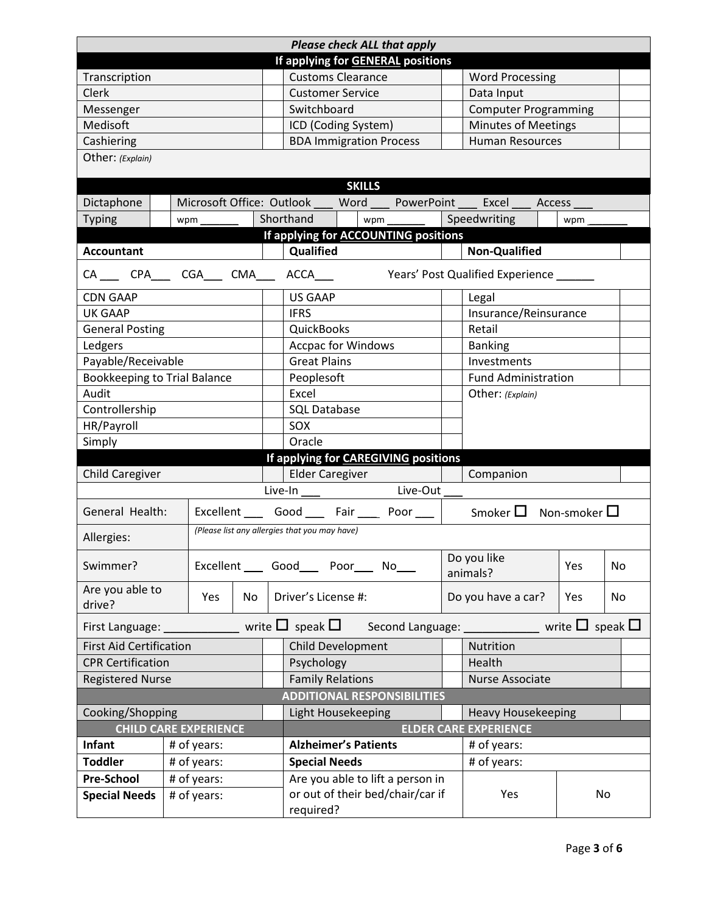| <b>Please check ALL that apply</b>                                  |                                                              |             |                          |                         |                                               |                             |                  |                                                    |                            |                                                                            |  |      |           |
|---------------------------------------------------------------------|--------------------------------------------------------------|-------------|--------------------------|-------------------------|-----------------------------------------------|-----------------------------|------------------|----------------------------------------------------|----------------------------|----------------------------------------------------------------------------|--|------|-----------|
| If applying for <b>GENERAL</b> positions                            |                                                              |             |                          |                         |                                               |                             |                  |                                                    |                            |                                                                            |  |      |           |
| Transcription                                                       |                                                              |             | <b>Customs Clearance</b> |                         |                                               |                             |                  | <b>Word Processing</b>                             |                            |                                                                            |  |      |           |
| <b>Clerk</b>                                                        |                                                              |             |                          | <b>Customer Service</b> |                                               |                             |                  | Data Input                                         |                            |                                                                            |  |      |           |
| Messenger                                                           |                                                              |             |                          |                         | Switchboard                                   |                             |                  |                                                    |                            | <b>Computer Programming</b>                                                |  |      |           |
| Medisoft                                                            |                                                              |             |                          |                         | ICD (Coding System)                           |                             |                  |                                                    |                            | <b>Minutes of Meetings</b>                                                 |  |      |           |
| Cashiering                                                          |                                                              |             |                          |                         | <b>BDA Immigration Process</b>                |                             |                  |                                                    |                            | <b>Human Resources</b>                                                     |  |      |           |
| Other: (Explain)                                                    |                                                              |             |                          |                         |                                               |                             |                  |                                                    |                            |                                                                            |  |      |           |
|                                                                     |                                                              |             |                          |                         |                                               |                             |                  |                                                    |                            |                                                                            |  |      |           |
|                                                                     | <b>SKILLS</b>                                                |             |                          |                         |                                               |                             |                  |                                                    |                            |                                                                            |  |      |           |
| Dictaphone                                                          |                                                              |             |                          |                         |                                               |                             |                  |                                                    |                            | Microsoft Office: Outlook ___ Word ___ PowerPoint ___ Excel ___ Access ___ |  |      |           |
| <b>Typing</b>                                                       |                                                              | wpm         |                          |                         |                                               |                             |                  |                                                    |                            | Shorthand     wpm     Speedwriting                                         |  | wpm_ |           |
|                                                                     |                                                              |             |                          |                         |                                               |                             |                  | If applying for <b>ACCOUNTING</b> positions        |                            |                                                                            |  |      |           |
| <b>Accountant</b>                                                   |                                                              |             |                          |                         | Qualified                                     |                             |                  |                                                    |                            | <b>Non-Qualified</b>                                                       |  |      |           |
| CA ___ CPA ___ CGA ___ CMA ___                                      |                                                              |             |                          |                         | ACCA___                                       |                             |                  |                                                    |                            | Years' Post Qualified Experience                                           |  |      |           |
| <b>CDN GAAP</b>                                                     |                                                              |             |                          |                         | <b>US GAAP</b>                                |                             |                  |                                                    |                            | Legal                                                                      |  |      |           |
| <b>UK GAAP</b>                                                      |                                                              |             |                          |                         | <b>IFRS</b>                                   |                             |                  |                                                    |                            | Insurance/Reinsurance                                                      |  |      |           |
| <b>General Posting</b>                                              |                                                              |             |                          |                         | <b>QuickBooks</b>                             |                             |                  |                                                    |                            | Retail                                                                     |  |      |           |
| Ledgers                                                             |                                                              |             |                          |                         | <b>Accpac for Windows</b>                     |                             |                  |                                                    |                            | <b>Banking</b>                                                             |  |      |           |
| Payable/Receivable                                                  |                                                              |             |                          |                         | <b>Great Plains</b>                           |                             |                  |                                                    |                            | Investments                                                                |  |      |           |
|                                                                     | <b>Bookkeeping to Trial Balance</b>                          |             |                          |                         | Peoplesoft                                    |                             |                  |                                                    | <b>Fund Administration</b> |                                                                            |  |      |           |
| Audit                                                               |                                                              |             | Excel                    |                         |                                               |                             | Other: (Explain) |                                                    |                            |                                                                            |  |      |           |
| Controllership                                                      |                                                              |             |                          |                         | <b>SQL Database</b>                           |                             |                  |                                                    |                            |                                                                            |  |      |           |
| HR/Payroll                                                          |                                                              |             | SOX                      |                         |                                               |                             |                  |                                                    |                            |                                                                            |  |      |           |
| Simply                                                              |                                                              |             |                          |                         | Oracle                                        |                             |                  |                                                    |                            |                                                                            |  |      |           |
|                                                                     |                                                              |             |                          |                         |                                               |                             |                  | If applying for <b>CAREGIVING</b> positions        |                            |                                                                            |  |      |           |
| <b>Child Caregiver</b>                                              |                                                              |             |                          |                         | <b>Elder Caregiver</b>                        |                             |                  |                                                    |                            | Companion                                                                  |  |      |           |
|                                                                     |                                                              |             |                          |                         |                                               |                             |                  |                                                    |                            |                                                                            |  |      |           |
| General Health:                                                     |                                                              |             |                          |                         |                                               |                             |                  | Excellent _____ Good ______ Fair ______ Poor _____ |                            | Smoker $\square$ Non-smoker $\square$                                      |  |      |           |
| Allergies:                                                          |                                                              |             |                          |                         | (Please list any allergies that you may have) |                             |                  |                                                    |                            |                                                                            |  |      |           |
| Swimmer?                                                            |                                                              |             |                          |                         | Excellent Good Poor No                        |                             |                  |                                                    |                            | Do you like<br>Yes<br>animals?                                             |  |      | <b>No</b> |
| Are you able to<br>drive?                                           |                                                              | Yes         | No                       |                         | Driver's License #:                           |                             |                  |                                                    |                            | Do you have a car?                                                         |  | Yes  | No        |
| First Language:                                                     |                                                              |             |                          |                         | write $\Box$ speak $\Box$                     |                             |                  |                                                    |                            | Second Language: $\Box$ speak $\Box$                                       |  |      |           |
|                                                                     | <b>First Aid Certification</b><br>Child Development          |             |                          |                         |                                               |                             | Nutrition        |                                                    |                            |                                                                            |  |      |           |
| <b>CPR Certification</b>                                            |                                                              |             |                          |                         | Psychology                                    |                             |                  |                                                    | Health                     |                                                                            |  |      |           |
| <b>Registered Nurse</b>                                             | <b>Family Relations</b>                                      |             |                          |                         | <b>Nurse Associate</b>                        |                             |                  |                                                    |                            |                                                                            |  |      |           |
| <b>ADDITIONAL RESPONSIBILITIES</b>                                  |                                                              |             |                          |                         |                                               |                             |                  |                                                    |                            |                                                                            |  |      |           |
| Cooking/Shopping<br>Light Housekeeping<br><b>Heavy Housekeeping</b> |                                                              |             |                          |                         |                                               |                             |                  |                                                    |                            |                                                                            |  |      |           |
|                                                                     | <b>ELDER CARE EXPERIENCE</b><br><b>CHILD CARE EXPERIENCE</b> |             |                          |                         |                                               |                             |                  |                                                    |                            |                                                                            |  |      |           |
| Infant                                                              |                                                              | # of years: |                          |                         |                                               | <b>Alzheimer's Patients</b> |                  |                                                    |                            | # of years:                                                                |  |      |           |
| <b>Toddler</b>                                                      |                                                              | # of years: |                          |                         |                                               | <b>Special Needs</b>        |                  |                                                    |                            | # of years:                                                                |  |      |           |
| <b>Pre-School</b>                                                   |                                                              | # of years: |                          |                         |                                               |                             |                  | Are you able to lift a person in                   |                            |                                                                            |  |      |           |
| <b>Special Needs</b>                                                |                                                              | # of years: |                          |                         |                                               |                             |                  | or out of their bed/chair/car if                   |                            | Yes                                                                        |  | No   |           |
|                                                                     | required?                                                    |             |                          |                         |                                               |                             |                  |                                                    |                            |                                                                            |  |      |           |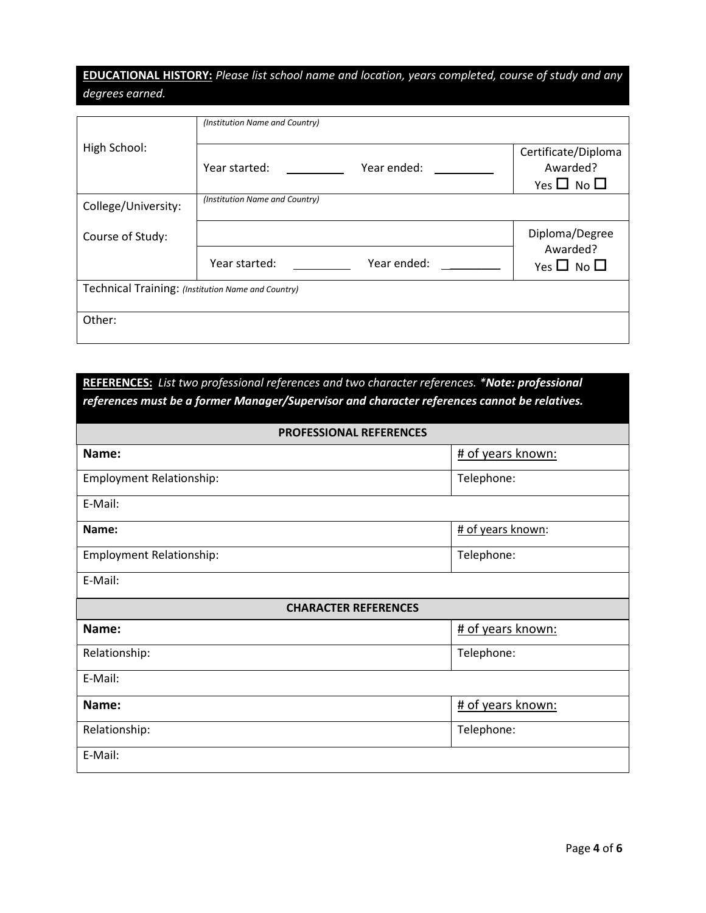# **EDUCATIONAL HISTORY:** *Please list school name and location, years completed, course of study and any degrees earned.*

|                                                    | (Institution Name and Country) |             |                                                         |
|----------------------------------------------------|--------------------------------|-------------|---------------------------------------------------------|
| High School:                                       | Year started:                  | Year ended: | Certificate/Diploma<br>Awarded?<br>Yes $\Box$ No $\Box$ |
| College/University:                                | (Institution Name and Country) |             |                                                         |
| Course of Study:                                   |                                |             | Diploma/Degree<br>Awarded?                              |
|                                                    | Year started:                  | Year ended: | Yes $\Box$ No $\Box$                                    |
| Technical Training: (Institution Name and Country) |                                |             |                                                         |
| Other:                                             |                                |             |                                                         |

# **REFERENCES:** *List two professional references and two character references. \*Note: professional references must be a former Manager/Supervisor and character references cannot be relatives.*

| <b>PROFESSIONAL REFERENCES</b>  |                   |  |  |  |  |
|---------------------------------|-------------------|--|--|--|--|
| Name:                           | # of years known: |  |  |  |  |
| <b>Employment Relationship:</b> | Telephone:        |  |  |  |  |
| E-Mail:                         |                   |  |  |  |  |
| Name:                           | # of years known: |  |  |  |  |
| <b>Employment Relationship:</b> | Telephone:        |  |  |  |  |
| E-Mail:                         |                   |  |  |  |  |
| <b>CHARACTER REFERENCES</b>     |                   |  |  |  |  |
| Name:                           | # of years known: |  |  |  |  |
| Relationship:                   | Telephone:        |  |  |  |  |
| E-Mail:                         |                   |  |  |  |  |
| Name:                           | # of years known: |  |  |  |  |
| Relationship:                   | Telephone:        |  |  |  |  |
| E-Mail:                         |                   |  |  |  |  |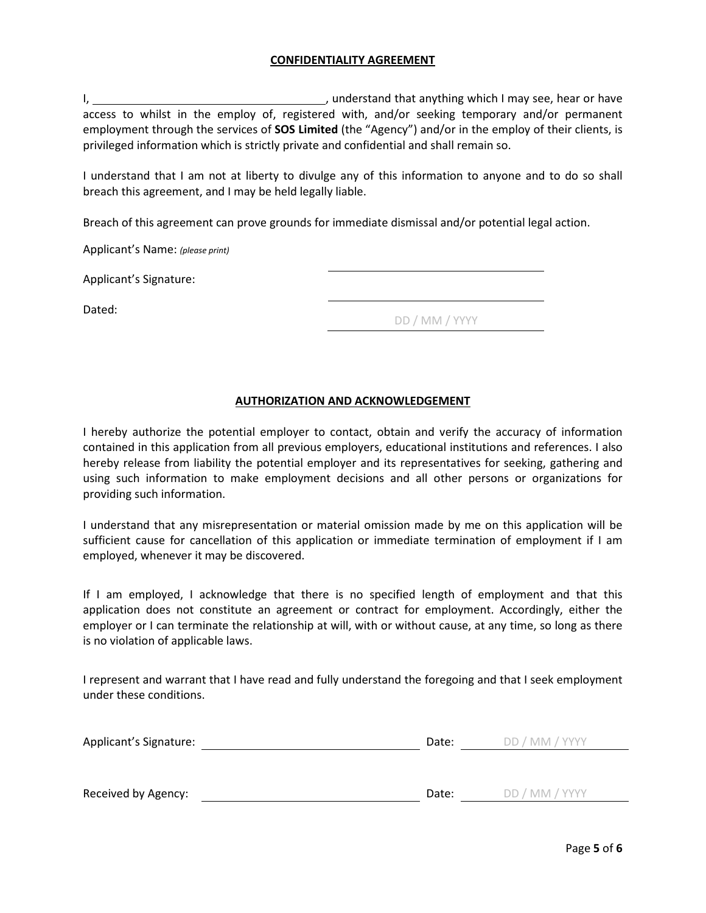#### **CONFIDENTIALITY AGREEMENT**

I, , understand that anything which I may see, hear or have access to whilst in the employ of, registered with, and/or seeking temporary and/or permanent employment through the services of **SOS Limited** (the "Agency") and/or in the employ of their clients, is privileged information which is strictly private and confidential and shall remain so.

I understand that I am not at liberty to divulge any of this information to anyone and to do so shall breach this agreement, and I may be held legally liable.

Breach of this agreement can prove grounds for immediate dismissal and/or potential legal action.

Applicant's Name: *(please print)*

Applicant's Signature:

Dated:

|  |  | DD / MM / YYYY |  |
|--|--|----------------|--|

#### **AUTHORIZATION AND ACKNOWLEDGEMENT**

I hereby authorize the potential employer to contact, obtain and verify the accuracy of information contained in this application from all previous employers, educational institutions and references. I also hereby release from liability the potential employer and its representatives for seeking, gathering and using such information to make employment decisions and all other persons or organizations for providing such information.

I understand that any misrepresentation or material omission made by me on this application will be sufficient cause for cancellation of this application or immediate termination of employment if I am employed, whenever it may be discovered.

If I am employed, I acknowledge that there is no specified length of employment and that this application does not constitute an agreement or contract for employment. Accordingly, either the employer or I can terminate the relationship at will, with or without cause, at any time, so long as there is no violation of applicable laws.

I represent and warrant that I have read and fully understand the foregoing and that I seek employment under these conditions.

| Applicant's Signature: | Date: | DD / MM / YYYY |  |  |
|------------------------|-------|----------------|--|--|
|                        |       |                |  |  |
| Received by Agency:    | Date: | DD / MM / YYYY |  |  |